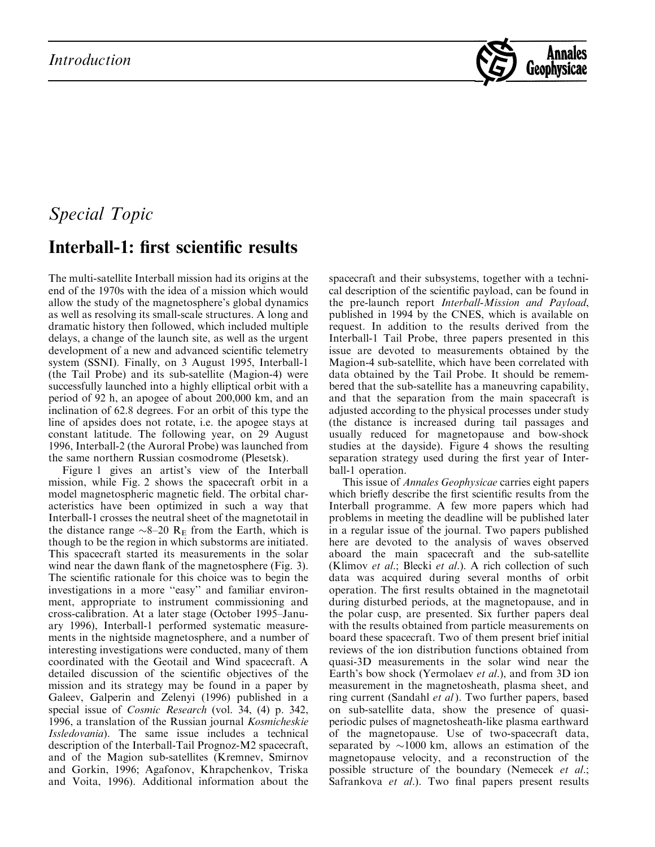

## Special Topic

## Interball-1: first scientific results

The multi-satellite Interball mission had its origins at the end of the 1970s with the idea of a mission which would allow the study of the magnetosphere's global dynamics as well as resolving its small-scale structures. A long and dramatic history then followed, which included multiple delays, a change of the launch site, as well as the urgent development of a new and advanced scientific telemetry system (SSNI). Finally, on 3 August 1995, Interball-1 (the Tail Probe) and its sub-satellite (Magion-4) were successfully launched into a highly elliptical orbit with a period of 92 h, an apogee of about 200,000 km, and an inclination of 62.8 degrees. For an orbit of this type the line of apsides does not rotate, i.e. the apogee stays at constant latitude. The following year, on 29 August 1996, Interball-2 (the Auroral Probe) was launched from the same northern Russian cosmodrome (Plesetsk).

Figure 1 gives an artist's view of the Interball mission, while Fig. 2 shows the spacecraft orbit in a model magnetospheric magnetic field. The orbital characteristics have been optimized in such a way that Interball-1 crosses the neutral sheet of the magnetotail in the distance range  $\sim$ 8-20 R<sub>E</sub> from the Earth, which is though to be the region in which substorms are initiated. This spacecraft started its measurements in the solar wind near the dawn flank of the magnetosphere (Fig. 3). The scientific rationale for this choice was to begin the investigations in a more "easy" and familiar environment, appropriate to instrument commissioning and cross-calibration. At a later stage (October 1995–January 1996), Interball-1 performed systematic measurements in the nightside magnetosphere, and a number of interesting investigations were conducted, many of them coordinated with the Geotail and Wind spacecraft. A detailed discussion of the scientific objectives of the mission and its strategy may be found in a paper by Galeev, Galperin and Zelenyi (1996) published in a special issue of Cosmic Research (vol. 34, (4) p. 342, 1996, a translation of the Russian journal Kosmicheskie Issledovania). The same issue includes a technical description of the Interball-Tail Prognoz-M2 spacecraft, and of the Magion sub-satellites (Kremnev, Smirnov and Gorkin, 1996; Agafonov, Khrapchenkov, Triska and Voita, 1996). Additional information about the spacecraft and their subsystems, together with a technical description of the scientific payload, can be found in the pre-launch report Interball-Mission and Payload, published in 1994 by the CNES, which is available on request. In addition to the results derived from the Interball-1 Tail Probe, three papers presented in this issue are devoted to measurements obtained by the Magion-4 sub-satellite, which have been correlated with data obtained by the Tail Probe. It should be remembered that the sub-satellite has a maneuvring capability, and that the separation from the main spacecraft is adjusted according to the physical processes under study (the distance is increased during tail passages and usually reduced for magnetopause and bow-shock studies at the dayside). Figure 4 shows the resulting separation strategy used during the first year of Interball-1 operation.

This issue of Annales Geophysicae carries eight papers which briefly describe the first scientific results from the Interball programme. A few more papers which had problems in meeting the deadline will be published later in a regular issue of the journal. Two papers published here are devoted to the analysis of waves observed aboard the main spacecraft and the sub-satellite (Klimov et al.; Blecki et al.). A rich collection of such data was acquired during several months of orbit operation. The first results obtained in the magnetotail during disturbed periods, at the magnetopause, and in the polar cusp, are presented. Six further papers deal with the results obtained from particle measurements on board these spacecraft. Two of them present brief initial reviews of the ion distribution functions obtained from quasi-3D measurements in the solar wind near the Earth's bow shock (Yermolaev *et al.*), and from 3D ion measurement in the magnetosheath, plasma sheet, and ring current (Sandahl et al). Two further papers, based on sub-satellite data, show the presence of quasiperiodic pulses of magnetosheath-like plasma earthward of the magnetopause. Use of two-spacecraft data, separated by  $\sim$ 1000 km, allows an estimation of the magnetopause velocity, and a reconstruction of the possible structure of the boundary (Nemecek et al.; Safrankova et al.). Two final papers present results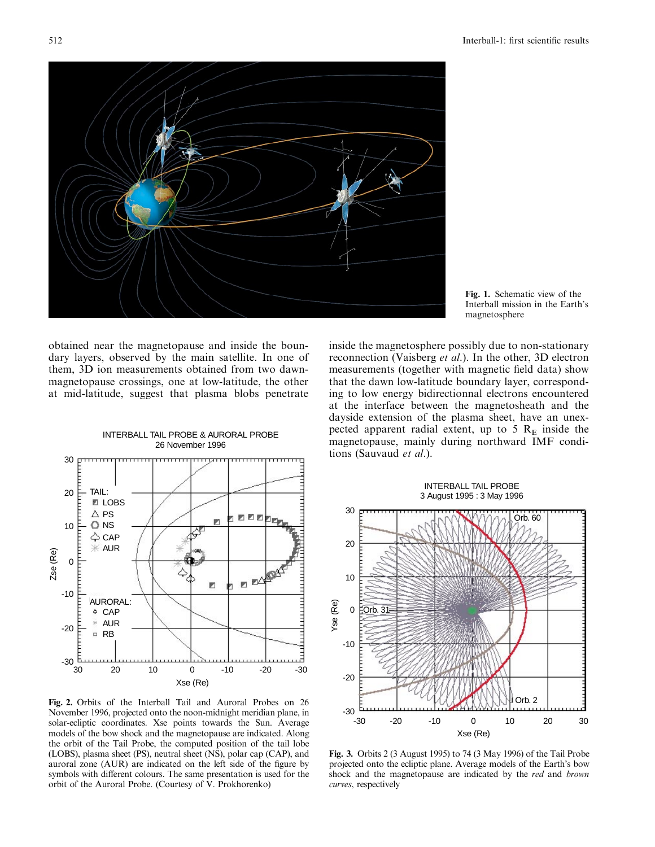

Fig. 1. Schematic view of the Interball mission in the Earth's magnetosphere

inside the magnetosphere possibly due to non-stationary reconnection (Vaisberg *et al.*). In the other, 3D electron measurements (together with magnetic field data) show that the dawn low-latitude boundary layer, corresponding to low energy bidirectionnal electrons encountered at the interface between the magnetosheath and the dayside extension of the plasma sheet, have an unexpected apparent radial extent, up to 5  $R<sub>E</sub>$  inside the magnetopause, mainly during northward IMF conditions (Sauvaud et al.).



obtained near the magnetopause and inside the boundary layers, observed by the main satellite. In one of them, 3D ion measurements obtained from two dawnmagnetopause crossings, one at low-latitude, the other at mid-latitude, suggest that plasma blobs penetrate

INTERBALL TAIL PROBE & AURORAL PROBE

Fig. 2. Orbits of the Interball Tail and Auroral Probes on 26 November 1996, projected onto the noon-midnight meridian plane, in solar-ecliptic coordinates. Xse points towards the Sun. Average models of the bow shock and the magnetopause are indicated. Along the orbit of the Tail Probe, the computed position of the tail lobe (LOBS), plasma sheet (PS), neutral sheet (NS), polar cap (CAP), and auroral zone (AUR) are indicated on the left side of the figure by symbols with different colours. The same presentation is used for the orbit of the Auroral Probe. (Courtesy of V. Prokhorenko)



Fig. 3. Orbits 2 (3 August 1995) to 74 (3 May 1996) of the Tail Probe projected onto the ecliptic plane. Average models of the Earth's bow shock and the magnetopause are indicated by the red and brown curves, respectively